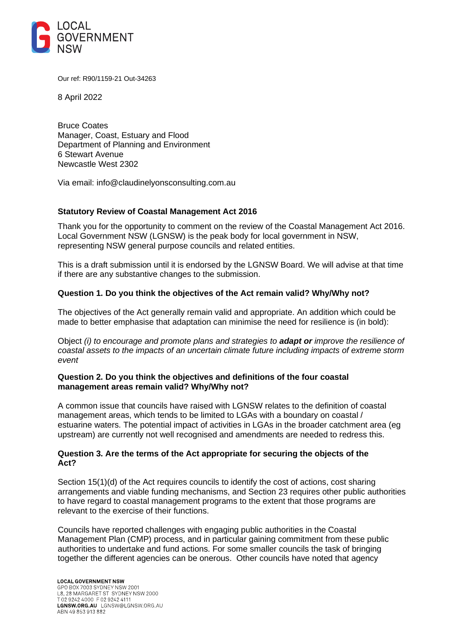

Our ref: R90/1159-21 Out-34263

8 April 2022

Bruce Coates Manager, Coast, Estuary and Flood Department of Planning and Environment 6 Stewart Avenue Newcastle West 2302

Via email: info@claudinelyonsconsulting.com.au

## **Statutory Review of Coastal Management Act 2016**

Thank you for the opportunity to comment on the review of the Coastal Management Act 2016. Local Government NSW (LGNSW) is the peak body for local government in NSW, representing NSW general purpose councils and related entities.

This is a draft submission until it is endorsed by the LGNSW Board. We will advise at that time if there are any substantive changes to the submission.

## **Question 1. Do you think the objectives of the Act remain valid? Why/Why not?**

The objectives of the Act generally remain valid and appropriate. An addition which could be made to better emphasise that adaptation can minimise the need for resilience is (in bold):

Object *(i) to encourage and promote plans and strategies to adapt or improve the resilience of coastal assets to the impacts of an uncertain climate future including impacts of extreme storm event*

## **Question 2. Do you think the objectives and definitions of the four coastal management areas remain valid? Why/Why not?**

A common issue that councils have raised with LGNSW relates to the definition of coastal management areas, which tends to be limited to LGAs with a boundary on coastal / estuarine waters. The potential impact of activities in LGAs in the broader catchment area (eg upstream) are currently not well recognised and amendments are needed to redress this.

## **Question 3. Are the terms of the Act appropriate for securing the objects of the Act?**

Section 15(1)(d) of the Act requires councils to identify the cost of actions, cost sharing arrangements and viable funding mechanisms, and Section 23 requires other public authorities to have regard to coastal management programs to the extent that those programs are relevant to the exercise of their functions.

Councils have reported challenges with engaging public authorities in the Coastal Management Plan (CMP) process, and in particular gaining commitment from these public authorities to undertake and fund actions. For some smaller councils the task of bringing together the different agencies can be onerous. Other councils have noted that agency